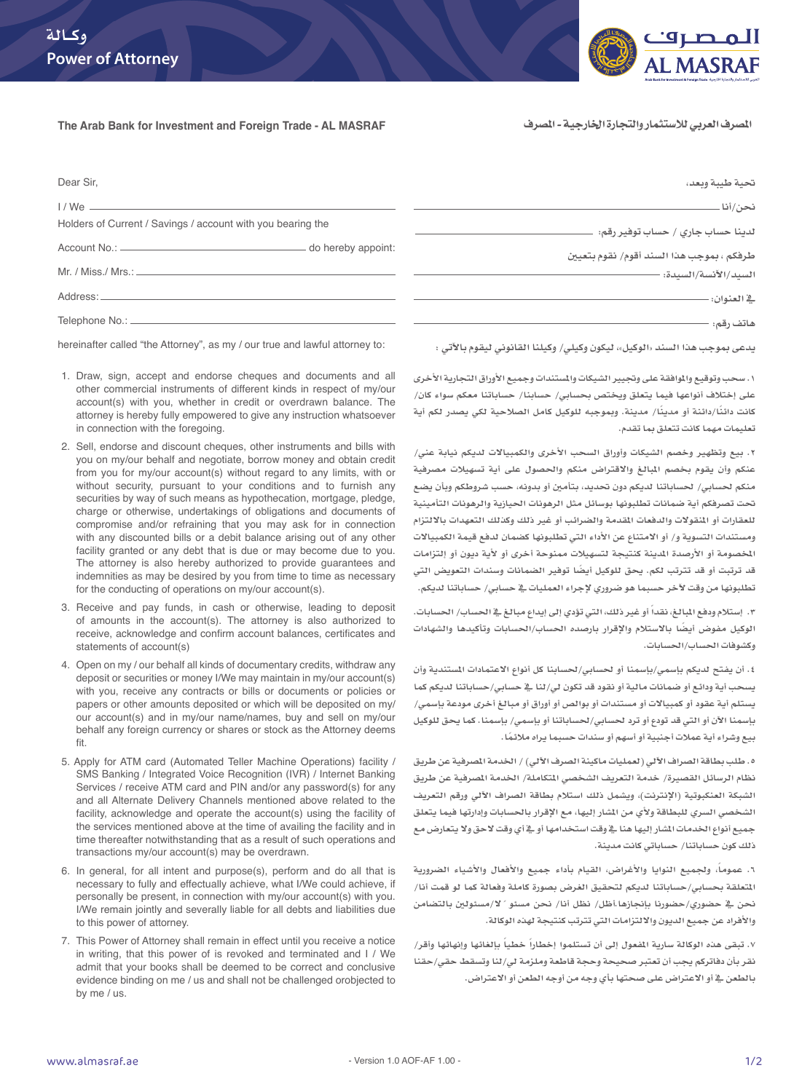

المصرف العربي للاستثمار والتجارة الخارجية - المصرف

## **The Arab Bank for Investment and Foreign Trade - AL MASRAF**

| Dear Sir,                                                                    | تحبة طببة وبعد،                                                     |
|------------------------------------------------------------------------------|---------------------------------------------------------------------|
| $1/We$ $\_\_$<br>Holders of Current / Savings / account with you bearing the | نحن/أنا -<br>لدينا حساب جار <i>ی / حساب توفير رقم:</i> -            |
| - do hereby appoint:                                                         | طرفكم ، بموجب هذا السند أقوم/ نقوم بتعيين<br>السيد/الآنسة/السيدة: - |
| Address: _______                                                             | _2 العنوان:                                                         |
| Telephone No.: _____________                                                 | هاتف رقم:                                                           |

hereinafter called "the Attorney", as my / our true and lawful attorney to:

- 1. Draw, sign, accept and endorse cheques and documents and all other commercial instruments of different kinds in respect of my/our account(s) with you, whether in credit or overdrawn balance. The attorney is hereby fully empowered to give any instruction whatsoever in connection with the foregoing.
- 2. Sell, endorse and discount cheques, other instruments and bills with you on my/our behalf and negotiate, borrow money and obtain credit from you for my/our account(s) without regard to any limits, with or without security, pursuant to your conditions and to furnish any securities by way of such means as hypothecation, mortgage, pledge, charge or otherwise, undertakings of obligations and documents of compromise and/or refraining that you may ask for in connection with any discounted bills or a debit balance arising out of any other facility granted or any debt that is due or may become due to you. The attorney is also hereby authorized to provide guarantees and indemnities as may be desired by you from time to time as necessary for the conducting of operations on my/our account(s).
- 3. Receive and pay funds, in cash or otherwise, leading to deposit of amounts in the account(s). The attorney is also authorized to receive, acknowledge and confirm account balances, certificates and statements of account(s)
- 4. Open on my / our behalf all kinds of documentary credits, withdraw any deposit or securities or money I/We may maintain in my/our account(s) with you, receive any contracts or bills or documents or policies or papers or other amounts deposited or which will be deposited on my/ our account(s) and in my/our name/names, buy and sell on my/our behalf any foreign currency or shares or stock as the Attorney deems fit.
- 5. Apply for ATM card (Automated Teller Machine Operations) facility / SMS Banking / Integrated Voice Recognition (IVR) / Internet Banking Services / receive ATM card and PIN and/or any password(s) for any and all Alternate Delivery Channels mentioned above related to the facility, acknowledge and operate the account(s) using the facility of the services mentioned above at the time of availing the facility and in time thereafter notwithstanding that as a result of such operations and transactions my/our account(s) may be overdrawn.
- 6. In general, for all intent and purpose(s), perform and do all that is necessary to fully and effectually achieve, what I/We could achieve, if personally be present, in connection with my/our account(s) with you. I/We remain jointly and severally liable for all debts and liabilities due to this power of attorney.
- 7. This Power of Attorney shall remain in effect until you receive a notice in writing, that this power of is revoked and terminated and I / We admit that your books shall be deemed to be correct and conclusive evidence binding on me / us and shall not be challenged orobjected to by me / us.

**يدعى مبوجب هذا السند »الوكيل«، ليكون وكيلي/ وكيلنا القانوني ليقوم باآلتي :**

**.1 سحب وتوقيع واملوافقة على وجتيير الشيكات واملستندات وجميع األوراق التجارية األخرى على إختالف أنواعها فيما يتعلق ويختص بحسابي/ حسابنا/ حساباتنا معكم سواء كان/ ً كانت دائنا/دائنة أو ً مدينا/ مدينة. ومبوجبه للوكيل كامل الصالحية لكي يصدر لكم أية تعليمات مهما كانت تتعلق مبا تقدم.**

**.2 بيع وتظهير وخصم الشيكات وأوراق السحب األخرى والكمبياالت لديكم نيابة عني/ عنكم وأن يقوم بخصم املبالغ واالقتراض منكم واحلصول على أية تسهيالت مصرفية منكم حلسابي/ حلساباتنا لديكم دون حتديد، بتأمني أو بدونه، حسب شروطكم وبأن يضع حتت تصرفكم أية ضمانات تطلبونها بوسائل مثل الرهونات احليازية والرهونات التأمينية للعقارات أو املنقوالت والدفعات املقدمة والضرائب أو غير ذلك وكذلك التعهدات بااللتزام ومستندات التسوية و/ أو االمتناع عن األداء التي تطلبونها كضمان لدفع قيمة الكمبياالت**  الخصومة أو الأرصدة المدينة كنتيجة لت*سه*يلات ممنوحة أخرى أو لأية ديون أو إلتزامات **قد ترتبت أو قد تترتب لكم. يحق للوكيل ً أيضا توفير الضمانات وسندات التعويض التي تطلبونها من وقت آلخر حسبما هو ضروري إلجراء العمليات يف حسابي/ حساباتنا لديكم.**

**.3 إستالم ودفع املبالغ، ً نقدا أو غير ذلك، التي تؤدي إلى إيداع مبالغ يف احلساب/ احلسابات. الوكيل مفوض ً أيضا باالستالم واإلقرار بارصده احلساب/احلسابات وتأكيدها والشهادات وكشوفات احلساب/احلسابات.**

**.4 أن يفتح لديكم بإسمي/بإسمنا أو حلسابي/حلسابنا كل أنواع االعتمادات املستندية وأن يسحب أية ودائع أو ضمانات مالية أو نقود قد تكون لي/لنا يف حسابي/حساباتنا لديكم كما يستلم أية عقود أو كمبياالت أو مستندات أو بوالص أو أوراق أو مبالغ أخرى مودعة بإسمي/ بإسمنا اآلن أو التي قد تودع أو ترد حلسابي/حلساباتنا أو بإسمي/ بإسمنا. كما يحق للوكيل ً بيع وشراء أية عمالت أجنبية أو أسهم أو سندات حسبما يراه مالئما.**

**.5 طلب بطاقة الصراف اآللي )لعمليات ماكينة الصرف اآللي( / اخلدمة املصرفية عن طريق نظام الرسائل القصيرة/ خدمة التعريف الشخصي املتكاملة/ اخلدمة املصرفية عن طريق الشبكة العنكبوتية )اإلنترنت(، ويشمل ذلك استالم بطاقة الصراف اآللي ورقم التعريف الشخصي السري للبطاقة وألي من املشار إليها، مع اإلقرار باحلسابات وإدارتها فيما يتعلق جميع أنواع اخلدمات املشار إليها هنا يف وقت استخدامها أو يف أي وقت الحق وال يتعارض مع ذلك كون حساباتنا/ حساباتي كانت مدينة.**

**.6 ً عموما، وجلميع النوايا واألغراض، القيام بأداء جميع واألفعال واألشياء الضرورية املتعلقة بحسابي/حساباتنا لديكم لتحقيق الغرض بصورة كاملة وفعالة كما لو قمت أنا/ ً ال/مسئولني بالتضامن نحن يف حضوري/حضورنا بإجنازها.أظل/ نظل أنا/ نحن مسئو واألفراد عن جميع الديون وااللتزامات التي تترتب كنتيجة لهذه الوكالة.**

**7 ً . تبقى هذه الوكالة سارية املفعول إلى أن تستلموا إخطارا ً خطيا بإلغائها وإنهائها وأقر/ نقر بأن دفاتركم يجب أن تعتبر صحيحة وحجة قاطعة وملزمة لي/لنا وتسقط حقي/حقنا بالطعن يف أو االعتراض على صحتها بأي وجه من أوجه الطعن أو االعتراض.**